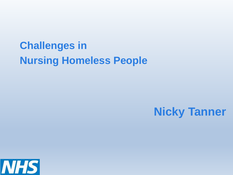## **Challenges in Nursing Homeless People**

### **Nicky Tanner**

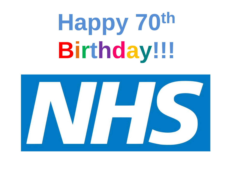**Happy 70th Birthday!!!**

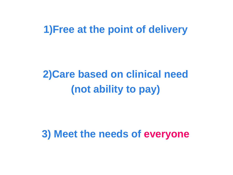### **1)Free at the point of delivery**

## **2)Care based on clinical need (not ability to pay)**

### **3) Meet the needs of everyone**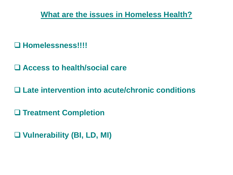**What are the issues in Homeless Health?**

#### **Homelessness!!!!**

**Access to health/social care**

**Late intervention into acute/chronic conditions**

**Treatment Completion**

**Vulnerability (BI, LD, MI)**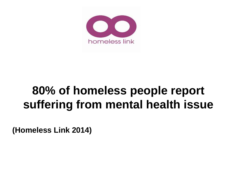

## **80% of homeless people report suffering from mental health issue**

**(Homeless Link 2014)**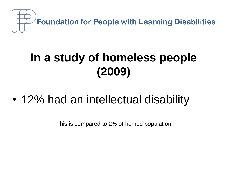

## **In a study of homeless people (2009)**

• 12% had an intellectual disability

This is compared to 2% of homed population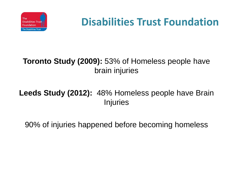

## **Disabilities Trust Foundation**

#### **Toronto Study (2009):** 53% of Homeless people have brain injuries

#### **Leeds Study (2012):** 48% Homeless people have Brain Injuries

90% of injuries happened before becoming homeless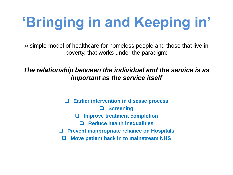# **'Bringing in and Keeping in'**

A simple model of healthcare for homeless people and those that live in poverty, that works under the paradigm:

#### *The relationship between the individual and the service is as important as the service itself*

 **Earlier intervention in disease process Screening Improve treatment completion Reduce health inequalities Prevent inappropriate reliance on Hospitals Move patient back in to mainstream NHS**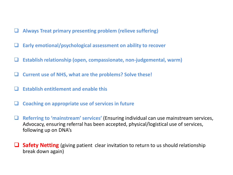- **Always Treat primary presenting problem (relieve suffering)**
- **Early emotional/psychological assessment on ability to recover**
- **Establish relationship (open, compassionate, non-judgemental, warm)**
- **Current use of NHS, what are the problems? Solve these!**
- **Establish entitlement and enable this**
- **Coaching on appropriate use of services in future**
- **Referring to 'mainstream' services'** (Ensuring individual can use mainstream services, Advocacy, ensuring referral has been accepted, physical/logistical use of services, following up on DNA's
- **Safety Netting** (giving patient clear invitation to return to us should relationship break down again)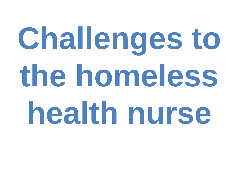# **Challenges to the homeless health nurse**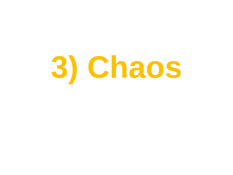# **3) Chaos**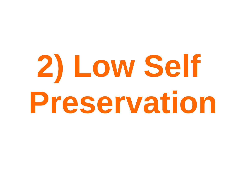# **2) Low Self Preservation**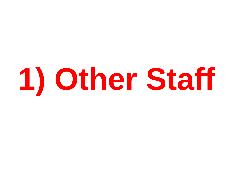# **1) Other Staff**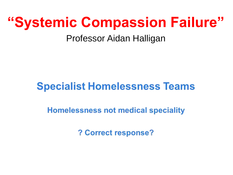# **"Systemic Compassion Failure"**

### Professor Aidan Halligan

### **Specialist Homelessness Teams**

**Homelessness not medical speciality** 

? Correct response?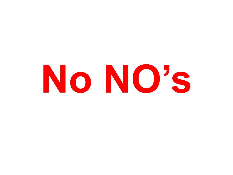# **No NO's**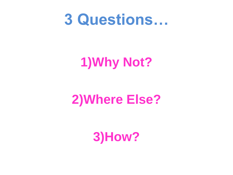# **3 Questions…**

# **1)Why Not?**

# **2)Where Else?**

## **3)How?**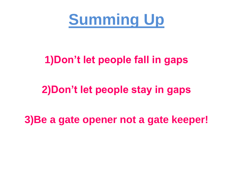**Summing Up**

### **1)Don't let people fall in gaps**

### **2)Don't let people stay in gaps**

### **3)Be a gate opener not a gate keeper!**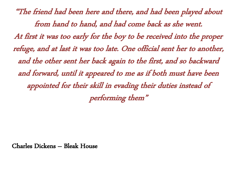"The friend had been here and there, and had been played about from hand to hand, and had come back as she went. At first it was too early for the boy to be received into the proper refuge, and at last it was too late. One official sent her to another, and the other sent her back again to the first, and so backward and forward, until it appeared to me as if both must have been appointed for their skill in evading their duties instead of performing them"

Charles Dickens – Bleak House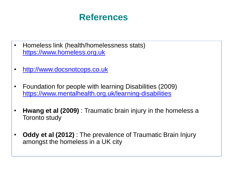### **References**

- Homeless link (health/homelessness stats) [https://www.homeless.org.uk](https://www.homeless.org.uk/)
- [http://www.docsnotcops.co.uk](http://www.docsnotcops.co.uk/)
- Foundation for people with learning Disabilities (2009) <https://www.mentalhealth.org.uk/learning-disabilities>
- **Hwang et al (2009)** : Traumatic brain injury in the homeless a Toronto study
- **Oddy et al (2012)** : The prevalence of Traumatic Brain Injury amongst the homeless in a UK city